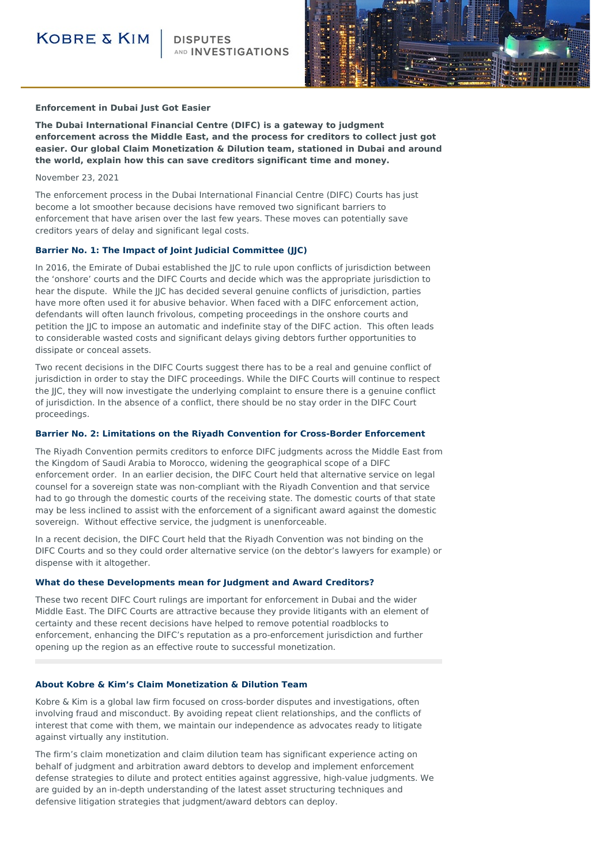## **KOBRE & KIM**

AND INVESTIGATIONS



### **Enforcement in Dubai Just Got Easier**

**The Dubai International Financial Centre (DIFC) is a gateway to judgment enforcement across the Middle East, and the process for creditors to collect just got easier. Our global Claim Monetization & Dilution team, stationed in Dubai and around the world, explain how this can save creditors significant time and money.**

#### November 23, 2021

The enforcement process in the Dubai International Financial Centre (DIFC) Courts has just become a lot smoother because decisions have removed two significant barriers to enforcement that have arisen over the last few years. These moves can potentially save creditors years of delay and significant legal costs.

#### **Barrier No. 1: The Impact of Joint Judicial Committee (JJC)**

In 2016, the Emirate of Dubai established the IIC to rule upon conflicts of jurisdiction between the 'onshore' courts and the DIFC Courts and decide which was the appropriate jurisdiction to hear the dispute. While the IIC has decided several genuine conflicts of jurisdiction, parties have more often used it for abusive behavior. When faced with a DIFC enforcement action, defendants will often launch frivolous, competing proceedings in the onshore courts and petition the JJC to impose an automatic and indefinite stay of the DIFC action. This often leads to considerable wasted costs and significant delays giving debtors further opportunities to dissipate or conceal assets.

Two recent decisions in the DIFC Courts suggest there has to be a real and genuine conflict of jurisdiction in order to stay the DIFC proceedings. While the DIFC Courts will continue to respect the JJC, they will now investigate the underlying complaint to ensure there is a genuine conflict of jurisdiction. In the absence of a conflict, there should be no stay order in the DIFC Court proceedings.

#### **Barrier No. 2: Limitations on the Riyadh Convention for Cross-Border Enforcement**

The Riyadh Convention permits creditors to enforce DIFC judgments across the Middle East from the Kingdom of Saudi Arabia to Morocco, widening the geographical scope of a DIFC enforcement order. In an earlier decision, the DIFC Court held that alternative service on legal counsel for a sovereign state was non-compliant with the Riyadh Convention and that service had to go through the domestic courts of the receiving state. The domestic courts of that state may be less inclined to assist with the enforcement of a significant award against the domestic sovereign. Without effective service, the judgment is unenforceable.

In a recent decision, the DIFC Court held that the Riyadh Convention was not binding on the DIFC Courts and so they could order alternative service (on the debtor's lawyers for example) or dispense with it altogether.

#### **What do these Developments mean for Judgment and Award Creditors?**

These two recent DIFC Court rulings are important for enforcement in Dubai and the wider Middle East. The DIFC Courts are attractive because they provide litigants with an element of certainty and these recent decisions have helped to remove potential roadblocks to enforcement, enhancing the DIFC's reputation as a pro-enforcement jurisdiction and further opening up the region as an effective route to successful monetization.

#### **About Kobre & Kim's Claim Monetization & Dilution Team**

Kobre & Kim is a global law firm focused on cross-border disputes and investigations, often involving fraud and misconduct. By avoiding repeat client relationships, and the conflicts of interest that come with them, we maintain our independence as advocates ready to litigate against virtually any institution.

The firm's claim monetization and claim dilution team has significant experience acting on behalf of judgment and arbitration award debtors to develop and implement enforcement defense strategies to dilute and protect entities against aggressive, high-value judgments. We are guided by an in-depth understanding of the latest asset structuring techniques and defensive litigation strategies that judgment/award debtors can deploy.